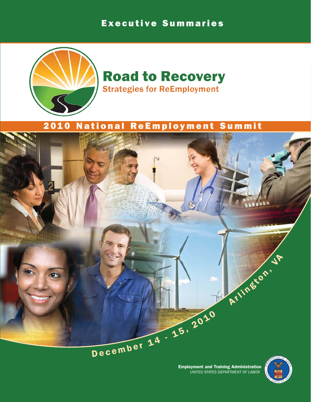# Executive Summaries



# **Road to Recovery Strategies for ReEmployment**

# 2010 National ReEmployment Summit



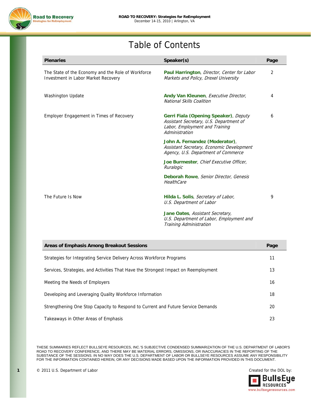

# Table of Contents

| <b>Plenaries</b>                                                                          | Speaker(s)                                                                                                                           | Page |
|-------------------------------------------------------------------------------------------|--------------------------------------------------------------------------------------------------------------------------------------|------|
| The State of the Economy and the Role of Workforce<br>Investment in Labor Market Recovery | Paul Harrington, Director, Center for Labor<br>Markets and Policy, Drexel University                                                 | 2    |
| <b>Washington Update</b>                                                                  | Andy Van Kleunen, Executive Director,<br>National Skills Coalition                                                                   | 4    |
| Employer Engagement in Times of Recovery                                                  | Gerri Fiala (Opening Speaker), Deputy<br>Assistant Secretary, U.S. Department of<br>Labor, Employment and Training<br>Administration | 6    |
|                                                                                           | John A. Fernandez (Moderator),<br>Assistant Secretary, Economic Development<br>Agency, U.S. Department of Commerce                   |      |
|                                                                                           | Joe Burmester, Chief Executive Officer,<br>Ruralogic                                                                                 |      |
|                                                                                           | Deborah Rowe, Senior Director, Genesis<br>HealthCare                                                                                 |      |
| The Future Is Now                                                                         | Hilda L. Solis, Secretary of Labor,<br>U.S. Department of Labor                                                                      | 9    |
|                                                                                           | Jane Oates, Assistant Secretary,<br>U.S. Department of Labor, Employment and<br>Training Administration                              |      |

| Areas of Emphasis Among Breakout Sessions                                           |    |
|-------------------------------------------------------------------------------------|----|
| Strategies for Integrating Service Delivery Across Workforce Programs               | 11 |
| Services, Strategies, and Activities That Have the Strongest Impact on Reemployment | 13 |
| Meeting the Needs of Employers                                                      | 16 |
| Developing and Leveraging Quality Workforce Information                             | 18 |
| Strengthening One Stop Capacity to Respond to Current and Future Service Demands    | 20 |
| Takeaways in Other Areas of Emphasis                                                | 23 |

THESE SUMMARIES REFLECT BULLSEYE RESOURCES, INC.'S SUBJECTIVE CONDENSED SUMMARIZATION OF THE U.S. DEPARTMENT OF LABOR'S ROAD TO RECOVERY CONFERENCE, AND THERE MAY BE MATERIAL ERRORS, OMISSIONS, OR INACCURACIES IN THE REPORTING OF THE SUBSTANCE OF THE SESSIONS. IN NO WAY DOES THE U.S. DEPARTMENT OF LABOR OR BULLSEYE RESOURCES ASSUME ANY RESPONSIBILITY FOR THE INFORMATION CONTAINED HEREIN, OR ANY DECISIONS MADE BASED UPON THE INFORMATION PROVIDED IN THIS DOCUMENT.

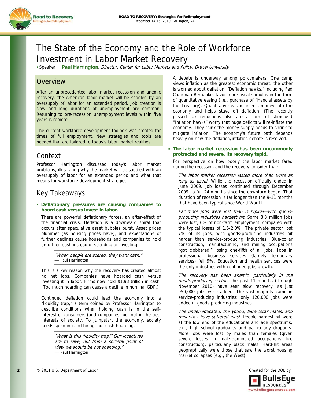



# The State of the Economy and the Role of Workforce Investment in Labor Market Recovery

Speaker: **Paul Harrington**, Director, Center for Labor Markets and Policy, Drexel University

## **Overview**

After an unprecedented labor market recession and anemic recovery, the American labor market will be saddled by an oversupply of labor for an extended period. Job creation is slow and long durations of unemployment are common. Returning to pre-recession unemployment levels within five years is remote.

The current workforce development toolbox was created for times of full employment. New strategies and tools are needed that are tailored to today's labor market realities.

## Context

Professor Harrington discussed today's labor market problems, illustrating why the market will be saddled with an oversupply of labor for an extended period and what that means for workforce development strategies.

## Key Takeaways

#### **Deflationary pressures are causing companies to hoard cash versus invest in labor.**

There are powerful deflationary forces, an after-effect of the financial crisis. Deflation is a downward spiral that occurs after speculative asset bubbles burst. Asset prices plummet (as housing prices have), and expectations of further declines cause households and companies to hold onto their cash instead of spending or investing it.

> "When people are scared, they want cash." ⎯ Paul Harrington

This is a key reason why the recovery has created almost no net jobs. Companies have hoarded cash versus investing it in labor. Firms now hold \$1.93 trillion in cash. (Too much hoarding can cause a decline in nominal GDP.)

Continued deflation could lead the economy into a "liquidity trap," a term coined by Professor Harrington to describe conditions when holding cash is in the selfinterest of consumers (and companies) but not in the best interests of society. To jumpstart the economy, society needs spending and hiring, not cash hoarding.

> "What is this 'liquidity trap?' Our incentives are to save, but from a societal point of view we should be out spending." - Paul Harrington

A debate is underway among policymakers. One camp views inflation as the greatest economic threat; the other is worried about deflation. "Deflation hawks," including Fed Chairman Bernanke, favor more fiscal stimulus in the form of quantitative easing (i.e., purchase of financial assets by the Treasury). Quantitative easing injects money into the economy and helps stave off deflation. (The recently passed tax reductions also are a form of stimulus.) "Inflation hawks" worry that huge deficits will re-inflate the economy. They think the money supply needs to shrink to mitigate inflation. The economy's future path depends heavily on how the deflation/inflation debate is resolved.

#### **The labor market recession has been uncommonly protracted and severe, its recovery tepid.**

For perspective on how poorly the labor market fared during the recession and the recovery consider that:

- ⎯ The labor market recession lasted more than twice as long as usual. While the recession officially ended in June 2009, job losses continued through December 2009—a full 24 months since the downturn began. That duration of recession is far longer than the 9-11 months that have been typical since World War II.
- Far more jobs were lost than is typical-with goodsproducing industries hardest hit. Some 8.3 million jobs were lost, 6% of non-farm employment, compared with the typical losses of 1.5-2.0%. The private sector lost 7% of its jobs, with goods-producing industries hit harder than service-producing industries. Blue-collar construction, manufacturing, and mining occupations "got clobbered," losing one-fifth of all jobs. Jobs in professional business services (largely temporary services) fell 9%. Education and health services were the only industries with continued jobs growth.
- ⎯ The recovery has been anemic, particularly in the goods-producing sector. The past 11 months (through November 2010) have seen slow recovery, as just 950,000 jobs were added. The vast majority came in service-producing industries; only 120,000 jobs were added in goods-producing industries.
- ⎯ The under-educated, the young, blue-collar males, and minorities have suffered most. People hardest hit were at the low end of the educational and age spectrums; e.g., high school graduates and particularly dropouts. More jobs were lost by males than females (given severe losses in male-dominated occupations like construction), particularly black males. Hard-hit areas geographically were those that saw the worst housing market collapses (e.g., the West).

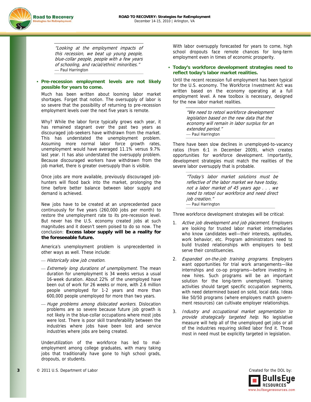

"Looking at the employment impacts of this recession, we beat up young people, blue-collar people, people with a few years of schooling, and racial/ethnic minorities." - Paul Harrington

#### **Pre-recession employment levels are not likely possible for years to come.**

Much has been written about looming labor market shortages. Forget that notion. The oversupply of labor is so severe that the possibility of returning to pre-recession employment levels over the next five years is remote.

Why? While the labor force typically grows each year, it has remained stagnant over the past two years as discouraged job-seekers have withdrawn from the market. This has understated the unemployment problem. Assuming more normal labor force growth rates, unemployment would have averaged 11.1% versus 9.7% last year. It has also understated the oversupply problem. Because discouraged workers have withdrawn from the job market, there is greater oversupply than is visible.

Once jobs are more available, previously discouraged jobhunters will flood back into the market, prolonging the time before better balance between labor supply and demand is achieved.

New jobs have to be created at an unprecedented pace continuously for five years (260,000 jobs per month) to restore the unemployment rate to its pre-recession level. But never has the U.S. economy created jobs at such magnitudes and it doesn't seem poised to do so now. The conclusion: **Excess labor supply will be a reality for the foreseeable future.**

America's unemployment problem is unprecedented in other ways as well. These include:

- Historically slow job creation.
- Extremely long durations of unemployment. The mean duration for unemployment is 34 weeks versus a usual 16-week duration. About 22% of the unemployed have been out of work for 26 weeks or more, with 2.6 million people unemployed for 1-2 years and more than 600,000 people unemployed for more than two years.
- Huge problems among dislocated workers. Dislocation problems are so severe because future job growth is not likely in the blue-collar occupations where most jobs were lost. There is poor skill transferability between the industries where jobs have been lost and service industries where jobs are being created.

Underutilization of the workforce has led to malemployment among college graduates, with many taking jobs that traditionally have gone to high school grads, dropouts, or students.

With labor oversupply forecasted for years to come, high school dropouts face remote chances for long-term employment even in times of economic prosperity.

#### **Today's workforce development strategies need to reflect today's labor market realities.**

Until the recent recession full employment has been typical for the U.S. economy. The Workforce Investment Act was written based on the economy operating at a full employment level. A new toolbox is necessary, designed for the new labor market realities.

> "We need to retool workforce development legislation based on the new data that the economy will remain in labor surplus for an extended period." - Paul Harrington

There have been slow declines in unemployed-to-vacancy ratios (from 6:1 in December 2009), which creates opportunities for workforce development. Importantly, development strategies must match the realities of the severe labor oversupply that is probable.

> "Today's labor market solutions must be reflective of the labor market we have today, not a labor market of 45 years ago . . . we need to retool our workforce and need direct job creation." - Paul Harrington

Three workforce development strategies will be critical:

- 1. Active job development and job placement. Employers are looking for trusted labor market intermediaries who know candidates well—their interests, aptitudes, work behavior, etc. Program administrators need to build trusted relationships with employers to best serve their constituencies.
- 2. Expanded on-the-job training programs. Employers want opportunities for trial work arrangements—like internships and co-op programs—before investing in new hires. Such programs will be an important solution for the long-term unemployed. Training activities should target specific occupation segments, with need determined based on solid, local data. Ideas like 50/50 programs (where employers match government resources) can cultivate employer relationships.
- 3. Industry and occupational market segmentation to provide strategically targeted help. No legislative measure will help all of the unemployed get jobs or all of the industries requiring skilled labor find it. Those most in need must be explicitly targeted in legislation.

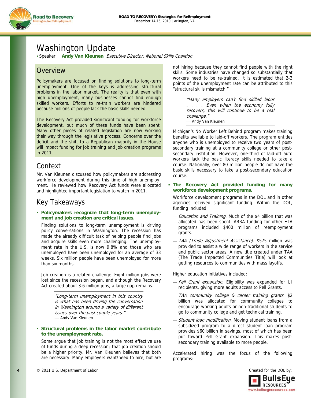

# Washington Update

Speaker: **Andy Van Kleunen**, Executive Director, National Skills Coalition

## **Overview**

Policymakers are focused on finding solutions to long-term unemployment. One of the keys is addressing structural problems in the labor market. The reality is that even with high unemployment, many businesses cannot find enough skilled workers. Efforts to re-train workers are hindered because millions of people lack the basic skills needed.

The Recovery Act provided significant funding for workforce development, but much of these funds have been spent. Many other pieces of related legislation are now working their way through the legislative process. Concerns over the deficit and the shift to a Republican majority in the House will impact funding for job training and job creation programs in 2011.

## Context

Mr. Van Kleunen discussed how policymakers are addressing workforce development during this time of high unemployment. He reviewed how Recovery Act funds were allocated and highlighted important legislation to watch in 2011.

## Key Takeaways

#### **Policymakers recognize that long-term unemployment and job creation are critical issues.**

Finding solutions to long-term unemployment is driving policy conversations in Washington. The recession has made the already difficult task of helping people find jobs and acquire skills even more challenging. The unemployment rate in the U.S. is now 9.8% and those who are unemployed have been unemployed for an average of 33 weeks. Six million people have been unemployed for more than six months.

Job creation is a related challenge. Eight million jobs were lost since the recession began, and although the Recovery Act created about 3.6 million jobs, a large gap remains.

> "Long-term unemployment in this country is what has been driving the conversation in Washington around a variety of different issues over the past couple years." - Andy Van Kleunen

#### **Structural problems in the labor market contribute to the unemployment rate.**

Some argue that job training is not the most effective use of funds during a deep recession; that job creation should be a higher priority. Mr. Van Kleunen believes that both are necessary. Many employers want/need to hire, but are not hiring because they cannot find people with the right skills. Some industries have changed so substantially that workers need to be re-trained. It is estimated that 2-3 points of the unemployment rate can be attributed to this "structural skills mismatch."

> "Many employers can't find skilled labor . . . . Even when the economy fully recovers, this will continue to be a real challenge." - Andy Van Kleunen

Michigan's No Worker Left Behind program makes training benefits available to laid-off workers. The program entitles anyone who is unemployed to receive two years of postsecondary training at a community college or other postsecondary institution. However, one-third of laid-off auto workers lack the basic literacy skills needed to take a course. Nationally, over 80 million people do not have the basic skills necessary to take a post-secondary education course.

 **The Recovery Act provided funding for many workforce development programs.** 

Workforce development programs in the DOL and in other agencies received significant funding. Within the DOL, funding included:

- Education and Training. Much of the \$4 billion that was allocated has been spent. ARRA funding for other ETA programs included \$400 million of reemployment grants.
- ⎯ TAA (Trade Adjustment Assistance). \$575 million was provided to assist a wide range of workers in the service and public sector areas. A new title created under TAA (The Trade Impacted Communities Title) will look at getting resources to communities with mass layoffs.

Higher education initiatives included:

- Pell Grant expansion. Eligibility was expanded for UI recipients, giving more adults access to Pell Grants.
- ⎯ TAA community college & career training grants. \$2 billion was allocated for community colleges to encourage working adults or non-traditional students to go to community college and get technical training.
- Student loan modification. Moving student loans from a subsidized program to a direct student loan program provides \$60 billion in savings, most of which has been put toward Pell Grant expansion. This makes postsecondary training available to more people.

Accelerated hiring was the focus of the following programs:

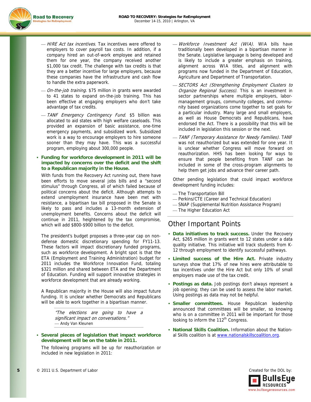

- HIRE Act tax incentives. Tax incentives were offered to employers to cover payroll tax costs. In addition, if a company hired an out-of-work employee and retained them for one year, the company received another \$1,000 tax credit. The challenge with tax credits is that they are a better incentive for large employers, because these companies have the infrastructure and cash flow to handle the extra paperwork.
- On-the-job training. \$75 million in grants were awarded to 41 states to expand on-the-job training. This has been effective at engaging employers who don't take advantage of tax credits.
- TANF Emergency Contingency Fund. \$5 billion was allocated to aid states with high welfare caseloads. This provided an expansion of basic assistance, one-time emergency payments, and subsidized work. Subsidized work is a way to encourage employers to hire someone sooner than they may have. This was a successful program, employing about 300,000 people.

#### **Funding for workforce development in 2011 will be impacted by concerns over the deficit and the shift to a Republican majority in the House.**

With funds from the Recovery Act running out, there have been efforts to move several jobs bills and a "second stimulus" through Congress, all of which failed because of political concerns about the deficit. Although attempts to extend unemployment insurance have been met with resistance, a bipartisan tax bill proposed in the Senate is likely to pass and includes a 13-month extension of unemployment benefits. Concerns about the deficit will continue in 2011, heightened by the tax compromise, which will add \$800-\$900 billion to the deficit.

The president's budget proposes a three-year cap on nondefense domestic discretionary spending for FY11-13. These factors will impact discretionary funded programs, such as workforce development. A bright spot is that the ETA (Employment and Training Administration) budget for 2011 includes the Workforce Innovation Fund, totaling \$321 million and shared between ETA and the Department of Education. Funding will support innovative strategies in workforce development that are already working.

A Republican majority in the House will also impact future funding. It is unclear whether Democrats and Republicans will be able to work together in a bipartisan manner.

> "The elections are going to have a significant impact on conversations." - Andy Van Kleunen

 **Several pieces of legislation that impact workforce development will be on the table in 2011.** 

The following programs will be up for reauthorization or included in new legislation in 2011:

- Workforce Investment Act (WIA). WIA bills have traditionally been developed in a bipartisan manner in the Senate. Legislative language is being developed and is likely to include a greater emphasis on training, alignment across WIA titles, and alignment with programs now funded in the Department of Education, Agriculture and Department of Transportation.
- SECTORS Act (Strengthening Employment Clusters to Organize Regional Success). This is an investment in sector partnerships where multiple employers, labormanagement groups, community colleges, and community based organizations come together to set goals for a particular industry. Many large and small employers, as well as House Democrats and Republicans, have endorsed the Act. There is a possibility that this will be included in legislation this session or the next.
- $-$  TANF (Temporary Assistance for Needy Families). TANF was not reauthorized but was extended for one year. It is unclear whether Congress will move forward on reauthorization. HHS has been looking for ways to ensure that people benefiting from TANF can be included in some of the cross-program alignments to help them get jobs and advance their career path.

Other pending legislation that could impact workforce development funding includes:

- ⎯ The Transportation Bill
- Perkins/CTE (Career and Technical Education)
- ⎯ SNAP (Supplemental Nutrition Assistance Program)
- ⎯ The Higher Education Act

## Other Important Points

- **Data initiatives to track success.** Under the Recovery Act, \$265 million in grants went to 12 states under a data quality initiative. This initiative will track students from K-12 through employment to identify successful pathways.
- **Limited success of the Hire Act.** Private industry surveys show that 17% of new hires were attributable to tax incentives under the Hire Act but only 10% of small employers made use of the tax credit.
- **Postings as data.** Job postings don't always represent a job opening; they can be used to assess the labor market. Using postings as data may not be helpful.
- **Smaller committees.** House Republican leadership announced that committees will be smaller, so knowing who is on a committee in 2011 will be important for those looking to inform the  $112^{\text{th}}$  Congress.
- **National Skills Coalition.** Information about the National Skills coalition is at www.nationalskillscoalition.org.

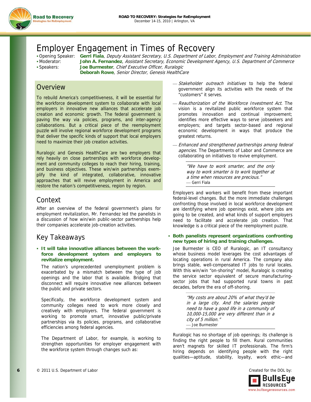

## Employer Engagement in Times of Recovery

 Opening Speaker: **Gerri Fiala**, Deputy Assistant Secretary, U.S. Department of Labor, Employment and Training Administration Moderator: **John A. Fernandez**, Assistant Secretary, Economic Development Agency, U.S. Department of Commerce Speakers: **Joe Burmester**, Chief Executive Officer, Ruralogic **Deborah Rowe**, Senior Director, Genesis HealthCare

## Overview

To rebuild America's competitiveness, it will be essential for the workforce development system to collaborate with local employers in innovative new alliances that accelerate job creation and economic growth. The federal government is paving the way via policies, programs, and inter-agency collaborations. But a critical piece of the reemployment puzzle will involve regional workforce development programs that deliver the specific kinds of support that local employers need to maximize their job creation activities.

Ruralogic and Genesis HealthCare are two employers that rely heavily on close partnerships with workforce development and community colleges to reach their hiring, training, and business objectives. These win/win partnerships exemplify the kind of integrated, collaborative, innovative approaches that will revive employment in America and restore the nation's competitiveness, region by region.

### Context

After an overview of the federal government's plans for employment revitalization, Mr. Fernandez led the panelists in a discussion of how win/win public-sector partnerships help their companies accelerate job-creation activities.

## Key Takeaways

 **It will take innovative alliances between the workforce development system and employers to revitalize employment.** 

The nation's unprecedented unemployment problem is exacerbated by a mismatch between the type of job openings and the labor that is available. Bridging that disconnect will require innovative new alliances between the public and private sectors.

Specifically, the workforce development system and community colleges need to work more closely and creatively with employers. The federal government is working to promote smart, innovative public/private partnerships via its policies, programs, and collaborative efficiencies among federal agencies.

The Department of Labor, for example, is working to strengthen opportunities for employer engagement with the workforce system through changes such as:

- Stakeholder outreach initiatives to help the federal government align its activities with the needs of the "customers" it serves.
- Reauthorization of the Workforce Investment Act. The vision is a revitalized public workforce system that promotes innovation and continual improvement; identifies more effective ways to serve jobseekers and employers; and targets sector-based and regional economic development in ways that produce the greatest returns.
- Enhanced and strengthened partnerships among federal agencies. The Departments of Labor and Commerce are collaborating on initiatives to revive employment.

"We have to work smarter, and the only way to work smarter is to work together at a time when resources are precious." ⎯ Gerri Fiala

Employers and workers will benefit from these important federal-level changes. But the more immediate challenges confronting those involved in local workforce development are identifying where job openings exist, where jobs are going to be created, and what kinds of support employers need to facilitate and accelerate job creation. That knowledge is a critical piece of the reemployment puzzle.

#### **Both panelists represent organizations confronting new types of hiring and training challenges.**

Joe Burmester is CEO of Ruralogic, an IT consultancy whose business model leverages the cost advantages of locating operations in rural America. The company also brings stable, well-compensated IT jobs to rural locales. With this win/win "on-shoring" model, Ruralogic is creating the service sector equivalent of secure manufacturingsector jobs that had supported rural towns in past decades, before the era of off-shoring.

> "My costs are about 20% of what they'd be in a large city. And the salaries people need to have a good life in a community of 10,000-15,000 are very different than in a city of 5 million." ⎯ Joe Burmester

Ruralogic has no shortage of job openings; its challenge is finding the right people to fill them. Rural communities aren't magnets for skilled IT professionals. The firm's hiring depends on identifying people with the right qualities—aptitude, stability, loyalty, work ethic—and

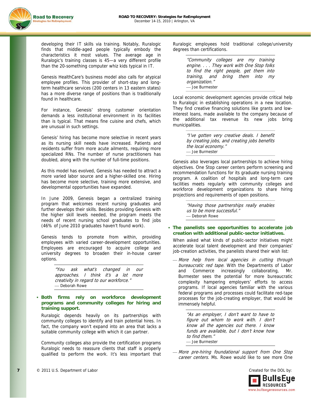

developing their IT skills via training. Notably, Ruralogic finds that middle-aged people typically embody the characteristics it most values. The average age in Ruralogic's training classes is 45—a very different profile than the 20-something computer whiz kids typical in IT.

Genesis HealthCare's business model also calls for atypical employee profiles. This provider of short-stay and longterm healthcare services (200 centers in 13 eastern states) has a more diverse range of positions than is traditionally found in healthcare.

For instance, Genesis' strong customer orientation demands a less institutional environment in its facilities than is typical. That means fine cuisine and chefs, which are unusual in such settings.

Genesis' hiring has become more selective in recent years as its nursing skill needs have increased. Patients and residents suffer from more acute ailments, requiring more specialized RNs. The number of nurse practitioners has doubled, along with the number of full-time positions.

As this model has evolved, Genesis has needed to attract a more varied labor source and a higher-skilled one. Hiring has become more selective, training more extensive, and developmental opportunities have expanded.

In June 2009, Genesis began a centralized training program that welcomes recent nursing graduates and further develops their skills. Besides providing Genesis with the higher skill levels needed, the program meets the needs of recent nursing school graduates to find jobs (46% of June 2010 graduates haven't found work).

Genesis tends to promote from within, providing employees with varied career-development opportunities. Employees are encouraged to acquire college and university degrees to broaden their in-house career options.

> "You ask what's changed in our approaches. I think it's a lot more creativity in regard to our workforce." - Deborah Rowe

 **Both firms rely on workforce development programs and community colleges for hiring and training support.** 

Ruralogic depends heavily on its partnerships with community colleges to identify and train potential hires. In fact, the company won't expand into an area that lacks a suitable community college with which it can partner.

Community colleges also provide the certification programs Ruralogic needs to reassure clients that staff is properly qualified to perform the work. It's less important that Ruralogic employees hold traditional college/university degrees than certifications.

> "Community colleges are my training engine. . . . They work with One Stop folks to find the right people, get them into training, and bring them into my organization." - Joe Burmester

Local economic development agencies provide critical help to Ruralogic in establishing operations in a new location. They find creative financing solutions like grants and lowinterest loans, made available to the company because of the additional tax revenue its new jobs bring municipalities.

> "I've gotten very creative deals. I benefit by creating jobs, and creating jobs benefits the local economy." ⎯ Joe Burmester

Genesis also leverages local partnerships to achieve hiring objectives. One Stop career centers perform screening and recommendation functions for its graduate nursing training program. A coalition of hospitals and long-term care facilities meets regularly with community colleges and workforce development organizations to share hiring projections and requirements of open positions.

> "Having those partnerships really enables us to be more successful." - Deborah Rowe

 **The panelists see opportunities to accelerate job creation with additional public-sector initiatives.** 

When asked what kinds of public-sector initiatives might accelerate local talent development and their companies' job-creation activities, the panelists shared their wish list:

- More help from local agencies in cutting through bureaucratic red tape. With the Departments of Labor and Commerce increasingly collaborating, Mr. Burmester sees the potential for more bureaucratic complexity hampering employers' efforts to access programs. If local agencies familiar with the various federal programs and processes could facilitate red-tape processes for the job-creating employer, that would be immensely helpful.

> "As an employer, I don't want to have to figure out whom to work with. I don't know all the agencies out there. I know funds are available, but I don't know how to find them." ⎯ Joe Burmester

More pre-hiring foundational support from One Stop career centers. Ms. Rowe would like to see more One

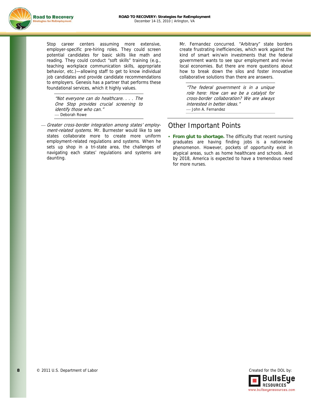

Stop career centers assuming more extensive, employer-specific pre-hiring roles. They could screen potential candidates for basic skills like math and reading. They could conduct "soft skills" training (e.g., teaching workplace communication skills, appropriate behavior, etc.)—allowing staff to get to know individual job candidates and provide candidate recommendations to employers. Genesis has a partner that performs these foundational services, which it highly values.

"Not everyone can do healthcare. . . . The One Stop provides crucial screening to identify those who can." - Deborah Rowe

Greater cross-border integration among states' employment-related systems. Mr. Burmester would like to see states collaborate more to create more uniform employment-related regulations and systems. When he sets up shop in a tri-state area, the challenges of navigating each states' regulations and systems are daunting.

Mr. Fernandez concurred. "Arbitrary" state borders create frustrating inefficiencies, which work against the kind of smart win/win investments that the federal government wants to see spur employment and revive local economies. But there are more questions about how to break down the silos and foster innovative collaborative solutions than there are answers.

"The federal government is in a unique role here: How can we be a catalyst for cross-border collaboration? We are always interested in better ideas." ⎯ John A. Fernandez

## Other Important Points

 **From glut to shortage.** The difficulty that recent nursing graduates are having finding jobs is a nationwide phenomenon. However, pockets of opportunity exist in atypical areas, such as home healthcare and schools. And by 2018, America is expected to have a tremendous need for more nurses.

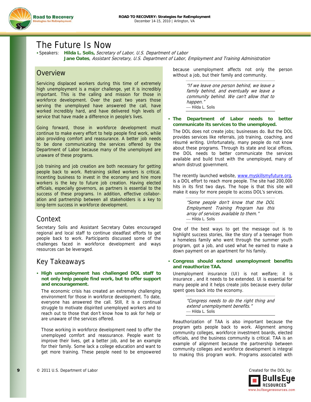

## The Future Is Now

 Speakers: **Hilda L. Solis,** Secretary of Labor, U.S. Department of Labor **Jane Oates**, Assistant Secretary, U.S. Department of Labor, Employment and Training Administration

## **Overview**

Servicing displaced workers during this time of extremely high unemployment is a major challenge, yet it is incredibly important. This is the calling and mission for those in workforce development. Over the past two years those serving the unemployed have answered the call, have worked incredibly hard, and have delivered high levels of service that have made a difference in people's lives.

Going forward, those in workforce development must continue to make every effort to help people find work, while also providing comfort and reassurance. A better job needs to be done communicating the services offered by the Department of Labor because many of the unemployed are unaware of these programs.

Job training and job creation are both necessary for getting people back to work. Retraining skilled workers is critical. Incenting business to invest in the economy and hire more workers is the key to future job creation. Having elected officials, especially governors, as partners is essential to the success of these programs. In addition, effective collaboration and partnership between all stakeholders is a key to long-term success in workforce development.

## Context

Secretary Solis and Assistant Secretary Oates encouraged regional and local staff to continue steadfast efforts to get people back to work. Participants discussed some of the challenges faced in workforce development and ways resources can be leveraged.

## Key Takeaways

#### **High unemployment has challenged DOL staff to not only help people find work, but to offer support and encouragement.**

The economic crisis has created an extremely challenging environment for those in workforce development. To date, everyone has answered the call. Still, it is a continual struggle to motivate dispirited unemployed workers and to reach out to those that don't know how to ask for help or are unaware of the services offered.

Those working in workforce development need to offer the unemployed comfort and reassurance. People want to improve their lives, get a better job, and be an example for their family. Some lack a college education and want to get more training. These people need to be empowered because unemployment affects not only the person without a job, but their family and community.

> "If we leave one person behind, we leave a family behind, and eventually we leave a community behind. We can't allow that to happen." ⎯ Hilda L. Solis

#### **The Department of Labor needs to better communicate its services to the unemployed.**

The DOL does not create jobs; businesses do. But the DOL provides services like referrals, job training, coaching, and résumé writing. Unfortunately, many people do not know about these programs. Through its state and local offices, the DOL needs to better communicate the services available and build trust with the unemployed, many of whom distrust government.

The recently launched website, www.myskillsmyfuture.org, is a DOL effort to reach more people. The site had 200,000 hits in its first two days. The hope is that this site will make it easy for more people to access DOL's services.

> "Some people don't know that the DOL Employment Training Program has this array of services available to them." ⎯ Hilda L. Solis

One of the best ways to get the message out is to highlight success stories, like the story of a teenager from a homeless family who went through the summer youth program, got a job, and used what he earned to make a down payment on an apartment for his family.

#### **Congress should extend unemployment benefits and reauthorize TAA.**

Unemployment insurance (UI) is not welfare; it is insurance , and it needs to be extended. UI is essential for many people and it helps create jobs because every dollar spent goes back into the economy.

> "Congress needs to do the right thing and extend unemployment benefits." ⎯ Hilda L. Solis

Reauthorization of TAA is also important because the program gets people back to work. Alignment among community colleges, workforce investment boards, elected officials, and the business community is critical. TAA is an example of alignment because the partnership between community colleges and workforce development is integral to making this program work. Programs associated with

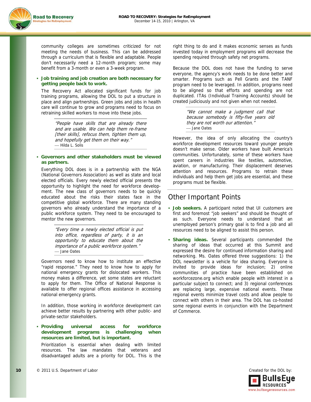

community colleges are sometimes criticized for not meeting the needs of business. This can be addressed through a curriculum that is flexible and adaptable. People don't necessarily need a 12-month program; some may benefit from a 3-month or even a 3-week program.

#### **Job training and job creation are both necessary for getting people back to work.**

The Recovery Act allocated significant funds for job training programs, allowing the DOL to put a structure in place and align partnerships. Green jobs and jobs in health care will continue to grow and programs need to focus on retraining skilled workers to move into these jobs.

> "People have skills that are already there and are usable. We can help them re-frame [their skills], refocus them, tighten them up, and hopefully get them on their way." — Hilda L. Solis

#### **Governors and other stakeholders must be viewed as partners.**

Everything DOL does is in a partnership with the NGA (National Governors Association) as well as state and local elected officials. Every newly elected official presents the opportunity to highlight the need for workforce development. The new class of governors needs to be quickly educated about the risks their states face in the competitive global workforce. There are many standing governors who already understand the importance of a public workforce system. They need to be encouraged to mentor the new governors.

> "Every time a newly elected official is put into office, regardless of party, it is an opportunity to educate them about the importance of a public workforce system." - Jane Oates

Governors need to know how to institute an effective "rapid response." They need to know how to apply for national emergency grants for dislocated workers. This money makes a difference, yet some states are reluctant to apply for them. The Office of National Response is available to offer regional offices assistance in accessing national emergency grants.

In addition, those working in workforce development can achieve better results by partnering with other public- and private-sector stakeholders.

 **Providing universal access for workforce development programs is challenging when resources are limited, but is important.** 

Prioritization is essential when dealing with limited resources. The law mandates that veterans and disadvantaged adults are a priority for DOL. This is the right thing to do and it makes economic senses as funds invested today in employment programs will decrease the spending required through safety net programs.

Because the DOL does not have the funding to serve everyone, the agency's work needs to be done better and smarter. Programs such as Pell Grants and the TANF program need to be leveraged. In addition, programs need to be aligned so that efforts and spending are not duplicated. ITAs (Individual Training Accounts) should be created judiciously and not given when not needed.

> "We cannot make a judgment call that because somebody is fifty-five years old they are not worth our attention." - Jane Oates

However, the idea of only allocating the country's workforce development resources toward younger people doesn't make sense. Older workers have built America's communities. Unfortunately, some of these workers have spent careers in industries like textiles, automotive, aviation, or manufacturing. Their displacement deserves attention and resources. Programs to retrain these individuals and help them get jobs are essential, and these programs must be flexible.

## Other Important Points

- **Job seekers.** A participant noted that UI customers are first and foremost "job seekers" and should be thought of as such. Everyone needs to understand that an unemployed person's primary goal is to find a job and all resources need to be aligned to assist this person.
- **Sharing ideas.** Several participants commended the sharing of ideas that occurred at this Summit and expressed the desire for continued information sharing and networking. Ms. Oates offered three suggestions: 1) the DOL newsletter is a vehicle for idea sharing. Everyone is invited to provide ideas for inclusion; 2) online communities of practice have been established on workforcezone.org which enable people with interest in a particular subject to connect; and 3) regional conferences are replacing large, expensive national events. These regional events minimize travel costs and allow people to connect with others in their area. The DOL has co-hosted some regional events in conjunction with the Department of Commerce.

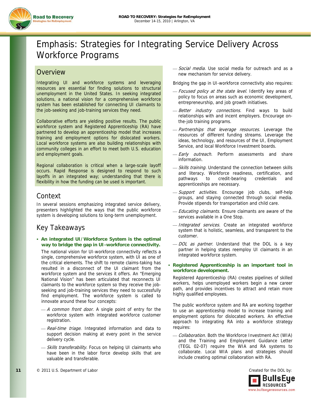

# Emphasis: Strategies for Integrating Service Delivery Across Workforce Programs

## **Overview**

Integrating UI and workforce systems and leveraging resources are essential for finding solutions to structural unemployment in the United States. In seeking integrated solutions, a national vision for a comprehensive workforce system has been established for connecting UI claimants to the job-seeking and job-training services they need.

Collaborative efforts are yielding positive results. The public workforce system and Registered Apprenticeship (RA) have partnered to develop an apprenticeship model that increases training and employment options for dislocated workers. Local workforce systems are also building relationships with community colleges in an effort to meet both U.S. education and employment goals.

Regional collaboration is critical when a large-scale layoff occurs. Rapid Response is designed to respond to such layoffs in an integrated way; understanding that there is flexibility in how the funding can be used is important.

## Context

In several sessions emphasizing integrated service delivery, presenters highlighted the ways that the public workforce system is developing solutions to long-term unemployment.

## Key Takeaways

 **An integrated UI/Workforce System is the optimal way to bridge the gap in UI-workforce connectivity.** 

The national vision for UI-workforce connectivity reflects a single, comprehensive workforce system, with UI as one of the critical elements. The shift to remote claims-taking has resulted in a disconnect of the UI claimant from the workforce system and the services it offers. An "Emerging National Vision" has been articulated that reconnects UI claimants to the workforce system so they receive the jobseeking and job-training services they need to successfully find employment. The workforce system is called to innovate around these four concepts:

- A common front door. A single point of entry for the workforce system with integrated workforce customer registration.
- Real-time triage. Integrated information and data to support decision making at every point in the service delivery cycle.
- Skills transferability. Focus on helping UI claimants who have been in the labor force develop skills that are valuable and transferable.

- Social media. Use social media for outreach and as a new mechanism for service delivery.

Bridging the gap in UI-workforce connectivity also requires:

- Focused policy at the state level. Identify key areas of policy to focus on areas such as economic development, entrepreneurship, and job growth initiatives.
- Better industry connections. Find ways to build relationships with and incent employers. Encourage onthe-job training programs.
- Partnerships that leverage resources. Leverage the resources of different funding streams. Leverage the ideas, technology, and resources of the UI, Employment Service, and local Workforce Investment boards.
- Early outreach. Perform assessments and share information.
- Skills training. Understand the connection between skills and literacy. Workforce readiness, certification, and pathways to credit-bearing credentials and apprenticeships are necessary.
- Support activities. Encourage job clubs, self-help groups, and staying connected through social media. Provide stipends for transportation and child care.
- Educating claimants. Ensure claimants are aware of the services available in a One Stop.
- *Integrated services*. Create an integrated workforce system that is holistic, seamless, and transparent to the customer.
- $-DOL$  as partner. Understand that the DOL is a key partner in helping states reemploy UI claimants in an integrated workforce system.

#### **Registered Apprenticeship is an important tool in workforce development.**

Registered Apprenticeship (RA) creates pipelines of skilled workers, helps unemployed workers begin a new career path, and provides incentives to attract and retain more highly qualified employees.

The public workforce system and RA are working together to use an apprenticeship model to increase training and employment options for dislocated workers. An effective approach to integrating RA into a workforce strategy requires:

- Collaboration. Both the Workforce Investment Act (WIA) and the Training and Employment Guidance Letter (TEGL 02-07) require the WIA and RA systems to collaborate. Local WIA plans and strategies should include creating optimal collaboration with RA.

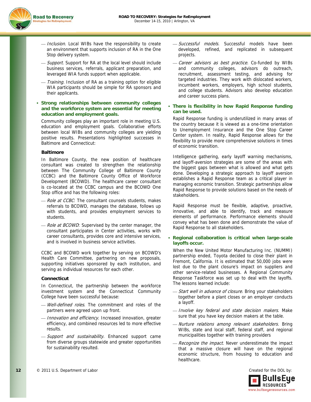

- Inclusion. Local WIBs have the responsibility to create an environment that supports inclusion of RA in the One Stop delivery system.
- *Support.* Support for RA at the local level should include business services, referrals, applicant preparation, and leveraged WIA funds support when applicable.
- *Training*. Inclusion of RA as a training option for eligible WIA participants should be simple for RA sponsors and their applicants.
- **Strong relationships between community colleges and the workforce system are essential for meeting education and employment goals.**

Community colleges play an important role in meeting U.S. education and employment goals. Collaborative efforts between local WIBs and community colleges are yielding positive results. Presentations highlighted successes in Baltimore and Connecticut:

#### **Baltimore**

In Baltimore County, the new position of healthcare consultant was created to strengthen the relationship between The Community College of Baltimore County (CCBC) and the Baltimore County Office of Workforce Development (BCOWD). The healthcare career consultant is co-located at the CCBC campus and the BCOWD One Stop office and has the following roles:

- Role at CCBC: The consultant counsels students, makes referrals to BCOWD, manages the database, follows up with students, and provides employment services to students.
- Role at BCOWD: Supervised by the center manager, the consultant participates in Center activities, works with career consultants, provides core and intensive services, and is involved in business service activities.

CCBC and BCOWD work together by serving on BCOWD's Health Care Committee, partnering on new proposals, supporting initiatives sponsored by each institution, and serving as individual resources for each other.

#### **Connecticut**

In Connecticut, the partnership between the workforce investment system and the Connecticut Community College have been successful because:

- Well-defined roles. The commitment and roles of the partners were agreed upon up front.
- Innovation and efficiency. Increased innovation, greater efficiency, and combined resources led to more effective results.
- Support and sustainability. Enhanced support came from diverse groups statewide and greater opportunities for sustainability resulted.
- Successful models. Successful models have been developed, refined, and replicated in subsequent projects.
- Career advisors as best practice. Co-funded by WIBs and community colleges, advisors do outreach, recruitment, assessment testing, and advising for targeted industries. They work with dislocated workers, incumbent workers, employers, high school students, and college students. Advisors also develop education and career success plans.
- **There is flexibility in how Rapid Response funding can be used.**

Rapid Response funding is underutilized in many areas of the country because it is viewed as a one-time orientation to Unemployment Insurance and the One Stop Career Center system. In reality, Rapid Response allows for the flexibility to provide more comprehensive solutions in times of economic transition.

Intelligence gathering, early layoff warning mechanisms, and layoff-aversion strategies are some of the areas with the biggest gaps between what is allowed and what gets done. Developing a strategic approach to layoff aversion establishes a Rapid Response team as a critical player in managing economic transition. Strategic partnerships allow Rapid Response to provide solutions based on the needs of stakeholders.

Rapid Response must be flexible, adaptive, proactive, innovative, and able to identify, track and measure elements of performance. Performance elements should convey what has been done and demonstrate the value of Rapid Response to all stakeholders.

 **Regional collaboration is critical when large-scale layoffs occur.** 

When the New United Motor Manufacturing Inc. (NUMMI) partnership ended, Toyota decided to close their plant in Fremont, California. It is estimated that 50,000 jobs were lost due to the plant closure's impact on suppliers and other service-related businesses. A Regional Community Response Taskforce was set up to deal with the layoffs. The lessons learned include:

- Start well in advance of closure. Bring your stakeholders together before a plant closes or an employer conducts a layoff.
- Involve key federal and state decision makers. Make sure that you have key decision makers at the table.
- Nurture relations among relevant stakeholders. Bring WIBs, state and local staff, federal staff, and regional municipalities together with training providers
- Recognize the impact. Never underestimate the impact that a massive closure will have on the regional economic structure, from housing to education and healthcare.

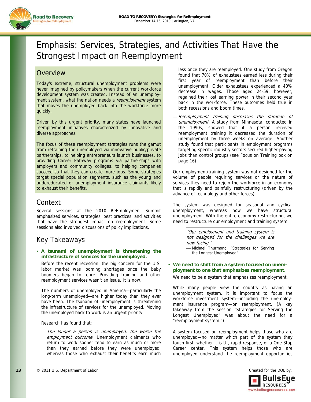

# Emphasis: Services, Strategies, and Activities That Have the Strongest Impact on Reemployment

## **Overview**

Today's extreme, structural unemployment problems were never imagined by policymakers when the current workforce development system was created. Instead of an unemployment system, what the nation needs a reemployment system that moves the unemployed back into the workforce more quickly.

Driven by this urgent priority, many states have launched reemployment initiatives characterized by innovative and diverse approaches.

The focus of these reemployment strategies runs the gamut from retraining the unemployed via innovative public/private partnerships, to helping entrepreneurs launch businesses, to providing Career Pathway programs via partnerships with employers and community colleges, to helping companies succeed so that they can create more jobs. Some strategies target special population segments, such as the young and undereducated or unemployment insurance claimants likely to exhaust their benefits.

## Context

Several sessions at the 2010 ReEmployment Summit emphasized services, strategies, best practices, and activities that have the strongest impact on reemployment. Some sessions also involved discussions of policy implications.

## Key Takeaways

#### **A tsunami of unemployment is threatening the infrastructure of services for the unemployed.**

Before the recent recession, the big concern for the U.S. labor market was looming shortages once the baby boomers began to retire. Providing training and other reemployment services wasn't an issue. It is now.

The numbers of unemployed in America—particularly the long-term unemployed—are higher today than they ever have been. The tsunami of unemployment is threatening the infrastructure of services for the unemployed. Moving the unemployed back to work is an urgent priority.

#### Research has found that:

⎯ The longer a person is unemployed, the worse the employment outcome. Unemployment claimants who return to work sooner tend to earn as much or more than they earned before they were unemployed, whereas those who exhaust their benefits earn much less once they are reemployed. One study from Oregon found that 70% of exhaustees earned less during their first year of reemployment than before their unemployment. Older exhaustees experienced a 40% decrease in wages. Those aged 24-59, however, regained their lost earning power in their second year back in the workforce. These outcomes held true in both recessions and boom times.

Reemployment training decreases the duration of unemployment. A study from Minnesota, conducted in the 1990s, showed that if a person received reemployment training it decreased the duration of unemployment by three weeks on average. Another study found that participants in employment programs targeting specific industry sectors secured higher-paying jobs than control groups (see Focus on Training box on page 16).

Our employment/training system was not designed for the volume of people requiring services or the nature of services they need to rejoin the workforce in an economy that is rapidly and painfully restructuring (driven by the advance of technology and other forces).

The system was designed for seasonal and cyclical unemployment, whereas now we have structural unemployment. With the entire economy restructuring, we need to restructure our employment and training system.

> "Our employment and training system is not designed for the challenges we are now facing." - Michael Thurmond, "Strategies for Serving the Longest Unemployed"

 **We need to shift from a system focused on unemployment to one that emphasizes reemployment.**

We need to be a system that emphasizes reemployment.

While many people view the country as having an unemployment system, it is important to focus the workforce investment system—including the unemployment insurance program—on reemployment. (A key takeaway from the session "Strategies for Serving the Longest Unemployed" was about the need for a "reemployment system.")

A system focused on reemployment helps those who are unemployed—no matter which part of the system they touch first, whether it is UI, rapid response, or a One Stop Career center. This system helps those who are unemployed understand the reemployment opportunities

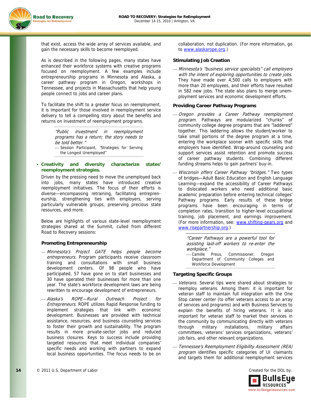

that exist, access the wide array of services available, and gain the necessary skills to become reemployed.

As is described in the following pages, many states have enhanced their workforce systems with creative programs focused on reemployment. A few examples include entrepreneurship programs in Minnesota and Alaska, a career pathway program in Oregon, workshops in Tennessee, and projects in Massachusetts that help young people connect to jobs and career plans.

To facilitate the shift to a greater focus on reemployment, it is important for those involved in reemployment service delivery to tell a compelling story about the benefits and returns on investment of reemployment programs.

> "Public investment in reemployment programs has a return; the story needs to be told better." - Session Participant, 'Strategies for Serving the Longest Unemployed"

#### **Creativity and diversity characterize states' reemployment strategies.**

Driven by the pressing need to move the unemployed back into jobs, many states have introduced creative reemployment initiatives. The focus of their efforts is diverse—encompassing retraining, facilitating entrepreneurship, strengthening ties with employers, serving particularly vulnerable groups, preserving precious state resources, and more.

Below are highlights of various state-level reemployment strategies shared at the Summit, culled from different Road to Recovery sessions:

#### **Promoting Entrepreneurship**

- ⎯ Minnesota's Project GATE helps people become entrepreneurs. Program participants receive classroom training and consultations with small business development centers. Of 98 people who have participated, 57 have gone on to start businesses and 30 have operated their businesses for more than one year. The state's workforce development laws are being rewritten to encourage development of entrepreneurs.
- Alaska's ROPE—Rural Outreach Project for Entrepreneurs. ROPE utilizes Rapid Response funding to implement strategies that link with economic development. Businesses are provided with technical assistance, resources, and business counseling services to foster their growth and sustainability. The program results in more private-sector jobs and reduced business closures. Keys to success include providing targeted resources that meet individual companies' specific needs and working with partners to expand local business opportunities. The focus needs to be on

collaboration, not duplication. (For more information, go to www.alaskarope.org.)

#### **Stimulating Job Creation**

⎯ Minnesota's "business service specialists" call employers with the intent of exploring opportunities to create jobs. They have made over 4,500 calls to employers with more than 20 employees, and their efforts have resulted in 582 new jobs. The state also plans to merge unemployment services and economic development efforts.

#### **Providing Career Pathway Programs**

- ⎯ Oregon provides a Career Pathway reemployment program. Pathways are modularized "chunks" of community college degree programs that are "laddered" together. This laddering allows the student/worker to take small portions of the degree program at a time, entering the workplace sooner with specific skills that employers have identified. Wrap-around counseling and support services assist retention and promote success of career pathway students. Combining different funding streams helps to gain partners' buy-in.
- Wisconsin offers Career Pathway "bridges." Two types of bridges—Adult Basic Education and English Language Learning—expand the accessibility of Career Pathways to dislocated workers who need additional basic academic preparation before entering technical colleges' Pathway programs. Early results of these bridge programs have been encouraging in terms of completion rates, transition to higher-level occupational training, job placement, and earnings improvement. (For more information, see: www.shifting-gears.org and www.risepartnership.org.)

"Career Pathways are a powerful tool for assisting laid-off workers to re-enter the workplace."

- Camille Preus, Commissioner, Oregon Department of Community Colleges and Workforce Development

#### **Targeting Specific Groups**

- Veterans. Several tips were shared about strategies to reemploy veterans. Among them: it is important for veteran staff to maintain full integration with the One Stop career center (to offer veterans access to an array of services and programs) and with Business Services to explain the benefits of hiring veterans. It is also important for veteran staff to market their services in the community by communicating directly with veterans through military installations, military affairs committees, veterans' services organizations, veterans' job fairs, and other relevant organizations.
- ⎯ Tennessee's Reemployment Eligibility Assessment (REA) program identifies specific categories of UI claimants and targets them for additional reemployment services

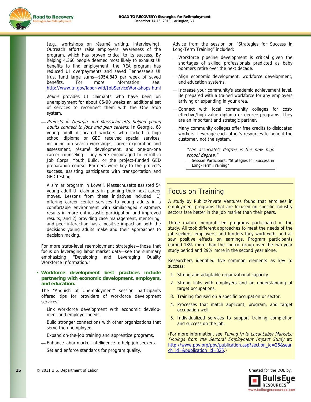



(e.g., workshops on résumé writing, interviewing). Outreach efforts raise employers' awareness of the program, which has proven critical to its success. By helping 4,360 people deemed most likely to exhaust UI benefits to find employment, the REA program has reduced UI overpayments and saved Tennessee's UI trust fund large sums—\$954,840 per week of saved benefits. For more information, see: http://www.tn.gov/labor-wfd/JobServiceWorkshops.html

- Maine provides UI claimants who have been on unemployment for about 85-90 weeks an additional set of services to reconnect them with the One Stop system.
- Projects in Georgia and Massachusetts helped young adults connect to jobs and plan careers. In Georgia, 68 young adult dislocated workers who lacked a high school diploma or GED received special services, including job search workshops, career exploration and assessment, résumé development, and one-on-one career counseling. They were encouraged to enroll in Job Corps, Youth Build, or the project-funded GED preparation course. Partners were key to the project's success, assisting participants with transportation and GED testing.

A similar program in Lowell, Massachusetts assisted 54 young adult UI claimants in planning their next career moves. Lessons from these initiatives included: 1) offering career center services to young adults in a comfortable environment with similar-aged customers results in more enthusiastic participation and improved results; and 2) providing case management, mentoring, and peer interaction has a positive impact on both the decisions young adults make and their approaches to decision making.

For more state-level reemployment strategies—those that focus on leveraging labor market data—see the summary emphasizing "Developing and Leveraging Quality Workforce Information."

 **Workforce development best practices include partnering with economic development, employers, and education.** 

The "Anguish of Unemployment" session participants offered tips for providers of workforce development services:

- Link workforce development with economic development and employer needs.
- ⎯ Build stronger connections with other organizations that serve the unemployed.
- Expand on-the-job training and apprentice programs.
- Enhance labor market intelligence to help job seekers.
- Set and enforce standards for program quality.

Advice from the session on "Strategies for Success in Long-Term Training" included:

- ⎯ Workforce pipeline development is critical given the shortages of skilled professionals predicted as baby boomers retire over the next decade.
- ⎯ Align economic development, workforce development, and education systems.
- Increase your community's academic achievement level. Be prepared with a trained workforce for any employers arriving or expanding in your area.
- Connect with local community colleges for costeffective/high-value diploma or degree programs. They are an important and strategic partner.
- Many community colleges offer free credits to dislocated workers. Leverage each other's resources to benefit the customer, not the system.

"The associate's degree is the new high school degree."

- Session Participant, "Strategies for Success in Long-Term Training"

### Focus on Training

A study by Public/Private Ventures found that enrollees in employment programs that are focused on specific industry sectors fare better in the job market than their peers.

Three mature nonprofit-led programs participated in the study. All took different approaches to meet the needs of the job seekers, employers, and funders they work with, and all saw positive effects on earnings. Program participants earned 18% more than the control group over the two-year study period and 29% more in the second year alone.

Researchers identified five common elements as key to success:

- 1. Strong and adaptable organizational capacity.
- 2. Strong links with employers and an understanding of target occupations.
- 3. Training focused on a specific occupation or sector.
- 4. Processes that match applicant, program, and target occupation well.
- 5. Individualized services to support training completion and success on the job.

(For more information, see Tuning In to Local Labor Markets: Findings from the Sectoral Employment Impact Study at: http://www.ppv.org/ppv/publication.asp?section\_id=26&sear ch\_id=&publication\_id=325.)

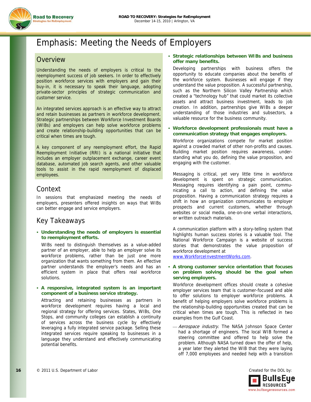

# Emphasis: Meeting the Needs of Employers

## **Overview**

Understanding the needs of employers is critical to the reemployment success of job seekers. In order to effectively position workforce services with employers and gain their buy-in, it is necessary to speak their language, adopting private-sector principles of strategic communication and customer service.

An integrated services approach is an effective way to attract and retain businesses as partners in workforce development. Strategic partnerships between Workforce Investment Boards (WIBs) and employers can help solve workforce problems and create relationship-building opportunities that can be critical when times are tough.

A key component of any reemployment effort, the Rapid Reemployment Initiative (RRI) is a national initiative that includes an employer outplacement exchange, career event database, automated job search agents, and other valuable tools to assist in the rapid reemployment of displaced employees.

## Context

In sessions that emphasized meeting the needs of employers, presenters offered insights on ways that WIBs can better engage and service employers.

## Key Takeaways

 **Understanding the needs of employers is essential to reemployment efforts.** 

WIBs need to distinguish themselves as a value-added partner of an employer, able to help an employer solve its workforce problems, rather than be just one more organization that wants something from them. An effective partner understands the employer's needs and has an efficient system in place that offers real workforce solutions.

#### **A responsive, integrated system is an important component of a business service strategy.**

Attracting and retaining businesses as partners in workforce development requires having a local and regional strategy for offering services. States, WIBs, One Stops, and community colleges can establish a continuity of services across the business cycle by effectively leveraging a fully integrated service package. Selling these integrated services require speaking to businesses in a language they understand and effectively communicating potential benefits.

#### **Strategic relationships between WIBs and business offer many benefits.**

Developing partnerships with business offers the opportunity to educate companies about the benefits of the workforce system. Businesses will engage if they understand the value proposition. A successful partnership, such as the Northern Silicon Valley Partnership which created a "technology hub" that could market its collective assets and attract business investment, leads to job creation. In addition, partnerships give WIBs a deeper understanding of those industries and subsectors, a valuable resource for the business community.

#### **Workforce development professionals must have a communication strategy that engages employers.**

Workforce organizations compete for market position against a crowded market of other non-profits and causes. Building market position requires awareness, understanding what you do, defining the value proposition, and engaging with the customer.

Messaging is critical, yet very little time in workforce development is spent on strategic communication. Messaging requires identifying a pain point, communicating a call to action, and defining the value proposition. Having a communication strategy requires a shift in how an organization communicates to employer prospects and current customers, whether through websites or social media, one-on-one verbal interactions, or written outreach materials.

A communication platform with a story-telling system that highlights human success stories is a valuable tool. The National Workforce Campaign is a website of success stories that demonstrates the value proposition of workforce development at

www.WorkforceInvestmentWorks.com.

#### **A strong customer service orientation that focuses on problem solving should be the goal when serving employers.**

Workforce development offices should create a cohesive employer services team that is customer-focused and able to offer solutions to employer workforce problems. A benefit of helping employers solve workforce problems is the relationship-building opportunities created that can be critical when times are tough. This is reflected in two examples from the Gulf Coast.

Aerospace industry. The NASA Johnson Space Center had a shortage of engineers. The local WIB formed a steering committee and offered to help solve the problem. Although NASA turned down the offer of help, a year later they alerted the WIB that they were laying off 7,000 employees and needed help with a transition

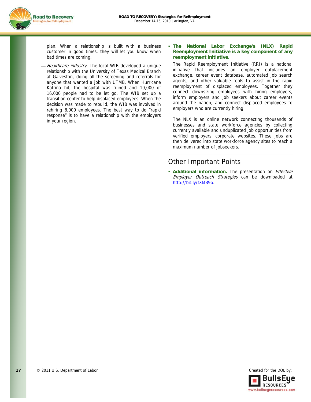

plan. When a relationship is built with a business customer in good times, they will let you know when bad times are coming.

Healthcare industry. The local WIB developed a unique relationship with the University of Texas Medical Branch at Galveston, doing all the screening and referrals for anyone that wanted a job with UTMB. When Hurricane Katrina hit, the hospital was ruined and 10,000 of 16,000 people had to be let go. The WIB set up a transition center to help displaced employees. When the decision was made to rebuild, the WIB was involved in rehiring 8,000 employees. The best way to do "rapid response" is to have a relationship with the employers in your region.

#### **The National Labor Exchange's (NLX) Rapid Reemployment Initiative is a key component of any reemployment initiative.**

The Rapid Reemployment Initiative (RRI) is a national initiative that includes an employer outplacement exchange, career event database, automated job search agents, and other valuable tools to assist in the rapid reemployment of displaced employees. Together they connect downsizing employees with hiring employers, inform employers and job seekers about career events around the nation, and connect displaced employees to employers who are currently hiring.

The NLX is an online network connecting thousands of businesses and state workforce agencies by collecting currently available and unduplicated job opportunities from verified employers' corporate websites. These jobs are then delivered into state workforce agency sites to reach a maximum number of jobseekers.

## Other Important Points

**Additional information.** The presentation on **Effective** Employer Outreach Strategies can be downloaded at http://bit.ly/fXMB9p.

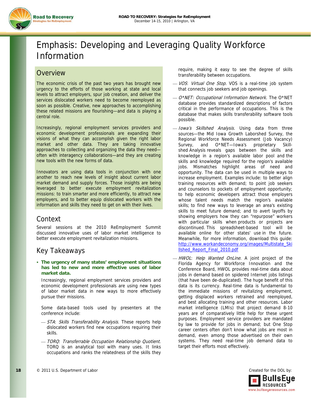

# Emphasis: Developing and Leveraging Quality Workforce Information

## **Overview**

The economic crisis of the past two years has brought new urgency to the efforts of those working at state and local levels to attract employers, spur job creation, and deliver the services dislocated workers need to become reemployed as soon as possible. Creative, new approaches to accomplishing these related missions are flourishing—and data is playing a central role.

Increasingly, regional employment services providers and economic development professionals are expanding their visions of what they can accomplish given the right labor market and other data. They are taking innovative approaches to collecting and organizing the data they need often with interagency collaborations—and they are creating new tools with the new forms of data.

Innovators are using data tools in conjunction with one another to reach new levels of insight about current labor market demand and supply forces. Those insights are being leveraged to better execute employment revitalization missions: to train smarter and more efficiently, to attract new employers, and to better equip dislocated workers with the information and skills they need to get on with their lives.

## Context

Several sessions at the 2010 ReEmployment Summit discussed innovative uses of labor market intelligence to better execute employment revitalization missions.

## Key Takeaways

 **The urgency of many states' employment situations has led to new and more effective uses of labor market data.** 

Increasingly, regional employment services providers and economic development professionals are using new types of labor market data in new ways to more effectively pursue their missions.

Some data-based tools used by presenters at the conference include:

- STA: Skills Transferability Analysis. These reports help dislocated workers find new occupations requiring their skills.
- ⎯ TORQ: Transferrable Occupation Relationship Quotient. TORQ is an analytical tool with many uses. It links occupations and ranks the relatedness of the skills they

require, making it easy to see the degree of skills transferability between occupations.

- VOS: Virtual One Stop. VOS is a real-time job system that connects job seekers and job openings.
- O\*NET: Occupational Information Network. The O\*NET database provides standardized descriptions of factors critical in the performance of occupations. This is the database that makes skills transferability software tools possible.
- Iowa's Skillshed Analysis. Using data from three sources—the Mid Iowa Growth Laborshed Survey, the Regional Workforce Needs Assessment (Job Vacancy) Survey, and O\*NET—Iowa's proprietary Skillshed Analysis reveals gaps between the skills and knowledge in a region's available labor pool and the skills and knowledge required for the region's available jobs. Mismatches highlight areas of need and opportunity. The data can be used in multiple ways to increase employment. Examples include: to better align training resources with demand; to point job seekers and counselors to pockets of employment opportunity; to help economic developers attract those employers whose talent needs match the region's available skills; to find new ways to leverage an area's existing skills to meet future demand; and to avert layoffs by showing employers how they can "repurpose" workers with particular skills when products or projects are discontinued. This spreadsheet-based tool will be available online for other states' use in the future. Meanwhile, for more information, download this guide: http://www.workandeconomy.org/images/Multistate\_Ski llshed\_Report\_Final\_2010.pdf
- HWOL: Help Wanted OnLine. A joint project of the Florida Agency for Workforce Innovation and the Conference Board, HWOL provides real-time data about jobs in demand based on spidered Internet jobs listings (that have been de-duplicated). The huge benefit of this data is its currency. Real-time data is fundamental to the immediate missions of revitalizing employment, getting displaced workers retrained and reemployed, and best allocating training and other resources. Labor market intelligence (LMIs) that project demand 8-10 years are of comparatively little help for these urgent purposes. Employment service providers are mandated by law to provide for jobs in demand; but One Stop career centers often don't know what jobs are most in demand, even among those advertised on their own systems. They need real-time job demand data to target their efforts most effectively.

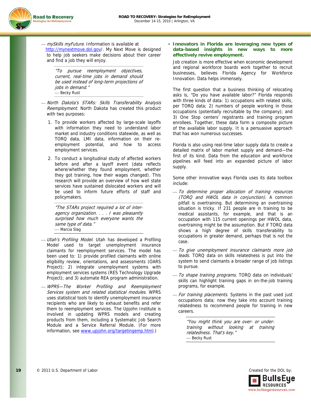

- mySkills myFuture. Information is available at http://mynextmove.dol.gov/. My Next Move is designed to help job seekers make decisions about their career and find a job they will enjoy.

"To pursue reemployment objectives, current, real-time jobs in demand should be used instead of long-term projections of jobs in demand." - Becky Rust

- North Dakota's STARs: Skills Transferability Analysis Reemployment. North Dakota has created this product with two purposes:
	- 1. To provide workers affected by large-scale layoffs with information they need to understand labor market and industry conditions statewide, as well as TORQ data, LMI data, information on their reemployment potential, and how to access employment services.
	- 2. To conduct a longitudinal study of affected workers before and after a layoff event (data reflects where/whether they found employment, whether they got training, how their wages changed). This research will provide an overview of how well state services have sustained dislocated workers and will be used to inform future efforts of staff and policymakers.

"The STARs project required a lot of interagency organization. . . . I was pleasantly surprised how much everyone wants the same type of data." — Marcia Slag

- Utah's Profiling Model. Utah has developed a Profiling Model used to target unemployment insurance claimants for reemployment services. The model has been used to: 1) provide profiled claimants with online eligibility review, orientations, and assessments (OARS Project); 2) integrate unemployment systems with employment services systems (RES Technology Upgrade Project); and 3) automate REA program administration.
- WPRS-The Worker Profiling and Reemployment Services system and related statistical modules. WPRS uses statistical tools to identify unemployment insurance recipients who are likely to exhaust benefits and refer them to reemployment services. The Upjohn Institute is involved in updating WPRS models and creating products from them, including a Systematic Job Search Module and a Service Referral Module. (For more information, see www.upjohn.org/targetingemp.html.)

 **Innovators in Florida are leveraging new types of data-based insights in new ways to more effectively revive employment.** 

Job creation is more effective when economic development and regional workforce boards work together to recruit businesses, believes Florida Agency for Workforce Innovation. Data helps immensely.

The first question that a business thinking of relocating asks is, "Do you have available labor?" Florida responds with three kinds of data: 1) occupations with related skills, per TORQ data; 2) numbers of people working in those occupations (potentially recruitable by the company); and 3) One Stop centers' registrants and training program enrollees. Together, these data form a composite picture of the available labor supply. It is a persuasive approach that has won numerous successes.

Florida is also using real-time labor supply data to create a detailed matrix of labor market supply and demand—the first of its kind. Data from the education and workforce pipelines will feed into an expanded picture of labor supply.

Some other innovative ways Florida uses its data toolbox include:

- ⎯ To determine proper allocation of training resources (TORQ and HWOL data in conjunction). A common pitfall is overtraining. But determining an overtraining situation is tricky. If 231 people are in training to be medical assistants, for example, and that is an occupation with 115 current openings per HWOL data, overtraining might be the assumption. But if TORQ data shows a high degree of skills transferability to occupations in greater demand, perhaps that is not the case.
- ⎯ To give unemployment insurance claimants more job leads. TORQ data on skills relatedness is put into the system to send claimants a broader range of job listings to pursue.
- To shape training programs. TORQ data on individuals' skills can highlight training gaps in on-the-job training programs, for example.
- For training placements. Systems in the past used just occupations data; now they take into account training relatedness to recommend people for training in new careers.

"You might think you are over- or undertraining without looking at training relatedness. That's key." - Becky Rust

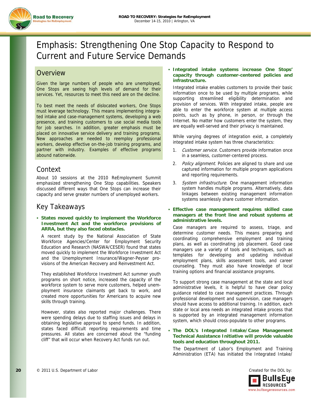

# Emphasis: Strengthening One Stop Capacity to Respond to Current and Future Service Demands

## **Overview**

Given the large numbers of people who are unemployed, One Stops are seeing high levels of demand for their services. Yet, resources to meet this need are on the decline.

To best meet the needs of dislocated workers, One Stops must leverage technology. This means implementing integrated intake and case-management systems, developing a web presence, and training customers to use social media tools for job searches. In addition, greater emphasis must be placed on innovative service delivery and training programs. New approaches are needed to reemploy professional workers, develop effective on-the-job training programs, and partner with industry. Examples of effective programs abound nationwide.

## Context

About 10 sessions at the 2010 ReEmployment Summit emphasized strengthening One Stop capabilities. Speakers discussed different ways that One Stops can increase their capacity and serve greater numbers of unemployed workers.

## Key Takeaways

#### **States moved quickly to implement the Workforce Investment Act and the workforce provisions of ARRA, but they also faced obstacles.**

A recent study by the National Association of State Workforce Agencies/Center for Employment Security Education and Research (NASWA/CESER) found that states moved quickly to implement the Workforce Investment Act and the Unemployment Insurance/Wagner-Peyser provisions of the American Recovery and Reinvestment Act.

They established Workforce Investment Act summer youth programs on short notice, increased the capacity of the workforce system to serve more customers, helped unemployment insurance claimants get back to work, and created more opportunities for Americans to acquire new skills through training.

However, states also reported major challenges. There were spending delays due to staffing issues and delays in obtaining legislative approval to spend funds. In addition, states faced difficult reporting requirements and time pressures. All states are concerned about the "funding cliff" that will occur when Recovery Act funds run out.

#### **Integrated intake systems increase One Stops' capacity through customer-centered policies and infrastructure.**

Integrated intake enables customers to provide their basic information once to be used by multiple programs, while supporting streamlined eligibility determination and provision of services. With integrated intake, people are able to enter the workforce system at multiple access points, such as by phone, in person, or through the Internet. No matter how customers enter the system, they are equally well-served and their privacy is maintained.

While varying degrees of integration exist, a completely integrated intake system has three characteristics:

- 1. Customer service. Customers provide information once in a seamless, customer-centered process.
- 2. Policy alignment. Policies are aligned to share and use captured information for multiple program applications and reporting requirements.
- 3. System infrastructure. One management information system handles multiple programs. Alternatively, data linkages between existing management information systems seamlessly share customer information.
- **Effective case management requires skilled case managers at the front line and robust systems at administrative levels.**

Case managers are required to assess, triage, and determine customer needs. This means preparing and coordinating comprehensive employment and training plans, as well as coordinating job placement. Good case managers use a variety of tools and techniques, such as templates for developing and updating individual employment plans, skills assessment tools, and career counseling. They must also have knowledge of local training options and financial assistance programs.

To support strong case management at the state and local administrative levels, it is helpful to have clear policy guidance related to case management practices. Through professional development and supervision, case managers should have access to additional training. In addition, each state or local area needs an integrated intake process that is supported by an integrated management information system, which should cross-populate to other programs.

#### **The DOL's Integrated Intake/Case Management Technical Assistance Initiative will provide valuable tools and education throughout 2011.**

The Department of Labor's Employment and Training Administration (ETA) has initiated the Integrated Intake/

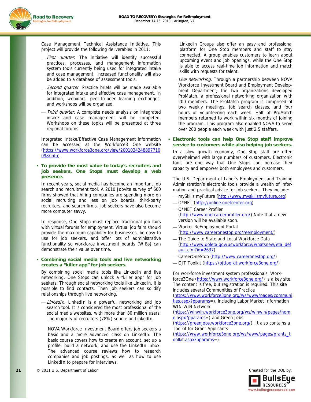

Case Management Technical Assistance Initiative. This project will provide the following deliverables in 2011:

- First quarter. The initiative will identify successful practices, processes, and management information system tools currently being used for integrated intake and case management. Increased functionality will also be added to a database of assessment tools.
- Second quarter. Practice briefs will be made available for integrated intake and effective case management. In addition, webinars, peer-to-peer learning exchanges, and workshops will be organized.
- Third quarter. A complete needs analysis on integrated intake and case management will be competed. Workshops on these topics will be presented at three regional forums.

Integrated Intake/Effective Case Management information can be accessed at the Workforce3 One website (https://www.workforce3one.org/view/2001034248897710 098/info).

#### **To provide the most value to today's recruiters and job seekers, One Stops must develop a web presence.**

In recent years, social media has become an important job search and recruitment tool. A 2010 Jobvite survey of 600 firms showed that hiring companies are spending more on social recruiting and less on job boards, third-party recruiters, and search firms. Job seekers have also become more computer savvy.

In response, One Stops must replace traditional job fairs with virtual forums for employment. Virtual job fairs should provide the maximum capability for businesses, be easy to use for job seekers, and offer lots of administrative functionality so workforce investment boards (WIBs) can demonstrate their value over time.

#### **Combining social media tools and live networking creates a "killer app" for job seekers.**

By combining social media tools like LinkedIn and live networking, One Stops can unlock a "killer app" for job seekers. Through social networking tools like LinkedIn, it is possible to find contacts. Then job seekers can solidify relationships through live networking.

- LinkedIn. LinkedIn is a powerful networking and job search tool. It is considered the most professional of the social media websites, with more than 80 million users. The majority of recruiters (78%) source on LinkedIn.

NOVA Workforce Investment Board offers job seekers a basic and a more advanced class on LinkedIn. The basic course covers how to create an account, set up a profile, build a network, and use the LinkedIn inbox. The advanced course reviews how to research companies and job postings, as well as how to use LinkedIn to prepare for interviews.

LinkedIn Groups also offer an easy and professional platform for One Stop members and staff to stay connected. A group enables customers to learn about upcoming event and job openings, while the One Stop is able to access real-time job information and match skills with requests for talent.

- Live networking. Through a partnership between NOVA Workforce Investment Board and Employment Development Department, the two organizations developed ProMatch, a professional networking organization with 200 members. The ProMatch program is comprised of two weekly meetings, job search classes, and four hours of volunteering each week. Half of ProMatch members returned to work within six months of joining the program. This program also enabled NOVA to serve over 200 people each week with just 2.5 staffers.

#### **Electronic tools can help One Stop staff improve service to customers while also helping job seekers.**

In a slow growth economy, One Stop staff are often overwhelmed with large numbers of customers. Electronic tools are one way that One Stops can increase their capacity and empower both employees and customers.

The U.S. Department of Labor's Employment and Training Administration's electronic tools provide a wealth of information and practical advice for job seekers. They include:

- mySkills myFuture (http://www.myskillsmyfuture.org)
- ⎯ O\*NET (http://online.onetcenter.org)
- $-$  O\*NET Career Profiler (http://www.onetcareerprofiler.org/) Note that a new version will be available soon.
- ⎯ Worker ReEmployment Portal (http://www.careeronestop.org/reemployment/)
- The Guide to State and Local Workforce Data (http://www.doleta.gov/usworkforce/whatsnew/eta\_def ault.cfm?id=2637)
- CareerOneStop (http://www.careeronestop.org/)
- ⎯ OJT Toolkit (https://ojttoolkit.workforce3one.org/)

For workforce investment system professionals, Workforce3One (https://www.workforce3one.org/) is a key site. The content is free, but registration is required. This site includes several Communities of Practice

(https://www.workforce3one.org/ws/www/pages/communi ties.aspx?pparams=), including Labor Market Information WIN-WIN Network

(https://winwin.workforce3one.org/ws/winwin/pages/hom e.aspx?pparams=) and Green Jobs

(https://greenjobs.workforce3one.org/). It also contains a Toolkit for Grant Applicants

(https://www.workforce3one.org/ws/www/pages/grants\_t oolkit.aspx?pparams=).

![](_page_21_Picture_31.jpeg)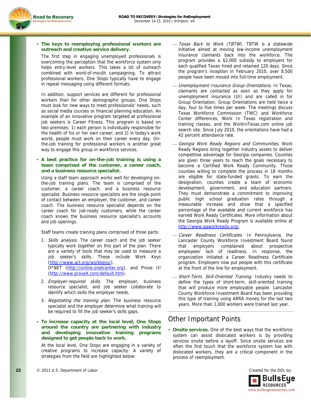![](_page_22_Picture_1.jpeg)

#### **The keys to reemploying professional workers are outreach and creative service delivery.**

The first step in engaging unemployed professionals is overcoming the perception that the workforce system only helps entry-level workers. This takes a lot of outreach combined with word-of-mouth campaigning. To attract professional workers, One Stops typically have to engage in repeat messaging using different formats.

In addition, support services are different for professional workers than for other demographic groups. One Stops must look for new ways to meet professionals' needs, such as social media courses or financial planning education. An example of an innovative program targeted at professional job seekers is Career Fitness. This program is based on two premises: 1) each person is individually responsible for the health of his or her own career; and 2) in today's work world, people must work on their career every day. Onthe-job training for professional workers is another great way to engage this group in workforce services.

#### **A best practice for on-the-job training is using a team comprised of the customer, a career coach, and a business resource specialist.**

Using a staff team approach works well for developing onthe-job training plans. The team is comprised of the customer, a career coach, and a business resource specialist. Business resource specialists are the single point of contact between an employer, the customer, and career coach. The business resource specialist depends on the career coach for job-ready customers, while the career coach knows the business resource specialist's accounts and job openings.

Staff teams create training plans comprised of three parts:

- 1. Skills analysis. The career coach and the job seeker typically work together on this part of the plan. There are a variety of tools that may be used to measure a job seeker's skills. These include Work Keys (http://www.act.org/workkeys/), O\*NET (http://online.onetcenter.org), and Prove It! (http://www.proveit.com/default.htm).
- 2. Employer-required skills. The employer, business resource specialist, and job seeker collaborate to identify which skills the employer needs.
- 3. Negotiating the training plan. The business resource specialist and the employer determine what training will be required to fill the job seeker's skills gaps.
- **To increase capacity at the local level, One Stops around the country are partnering with industry and developing innovative training programs designed to get people back to work.**

At the local level, One Stops are engaging in a variety of creative programs to increase capacity. A variety of strategies from the field are highlighted below:

- Texas Back to Work (TBTW). TBTW is a statewide initiative aimed at moving low-income unemployment insurance claimants back into the workforce. The program provides a \$2,000 subsidy to employers for each qualified Texan hired and retained 120 days. Since the program's inception in February 2010, over 8,500 people have been moved into full-time employment.
- Unemployment Insurance Group Orientations. In Texas, claimants are contacted as soon as they apply for unemployment insurance (UI) and are called in for Group Orientation. Group Orientations are held twice a day, four to five times per week. The meetings discuss Texas Workforce Commission (TWC) and Workforce Center differences, Work In Texas registration and training classes, and the WorkInTexas.com online job search site. Since July 2010, the orientations have had a 42 percent attendance rate.
- Georgia Work Ready Regions and Communities. Work Ready Regions bring together industry assets to deliver competitive advantage for Georgia companies. Counties are given three years to reach the goals necessary to become a Certified Work Ready Community. Those counties willing to complete the process in 18 months are eligible for state-funded grants. To earn the designation, counties create a team of economic development, government, and education partners. They must demonstrate a commitment to improving public high school graduation rates through a measurable increase and show that a specified percentage of the available and current workforce has earned Work Ready Certificates. More information about the Georgia Work Ready Program is available online at http://www.gaworkready.org/.
- Career Readiness Certificates. In Pennsylvania, the Lancaster County Workforce Investment Board found that employers complained about prospective employees' lack of readiness. In response, the organization initiated a Career Readiness Certificate program. Employers now put people with this certificate at the front of the line for employment.
- Short-Term, Skill-Oriented Training. Industry needs to define the types of short-term, skill-oriented training that will produce more employable people. Lancaster County Workforce Investment Board has been providing this type of training using ARRA money for the last two years. More than 1,000 workers were trained last year.

## Other Important Points

 **Onsite services.** One of the best ways that the workforce system can assist dislocated workers is by providing services onsite before a layoff. Since onsite services are often the first touch that the workforce system has with dislocated workers, they are a critical component in the process of reemployment.

![](_page_22_Picture_20.jpeg)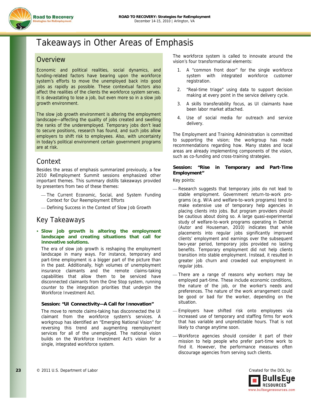![](_page_23_Picture_1.jpeg)

# Takeaways in Other Areas of Emphasis

## **Overview**

Economic and political realities, social dynamics, and funding-related factors have bearing upon the workforce system's efforts to move the unemployed back into good jobs as rapidly as possible. These contextual factors also affect the realities of the clients the workforce system serves. It is devastating to lose a job, but even more so in a slow job growth environment.

The slow job growth environment is altering the employment landscape—affecting the quality of jobs created and swelling the ranks of the underemployed. Temporary jobs don't lead to secure positions, research has found, and such jobs allow employers to shift risk to employees. Also, with uncertainty in today's political environment certain government programs are at risk.

## Context

Besides the areas of emphasis summarized previously, a few 2010 ReEmployment Summit sessions emphasized other important themes. This summary distills takeaways provided by presenters from two of these themes:

- The Current Economic, Social, and System Funding Context for Our Reemployment Efforts
- ⎯ Defining Success in the Context of Slow Job Growth

## Key Takeaways

 **Slow job growth is altering the employment landscape and creating situations that call for innovative solutions.** 

The era of slow job growth is reshaping the employment landscape in many ways. For instance, temporary and part-time employment is a bigger part of the picture than in the past. Additionally, high volumes of unemployment insurance claimants and the remote claims-taking capabilities that allow them to be serviced have disconnected claimants from the One Stop system, running counter to the integration priorities that underpin the Workforce Investment Act.

#### **Session: "UI Connectivity—A Call for Innovation"**

The move to remote claims-taking has disconnected the UI claimant from the workforce system's services. A workgroup has identified an "Emerging National Vision" for reversing this trend and augmenting reemployment services for all of the unemployed. The national vision builds on the Workforce Investment Act's vision for a single, integrated workforce system.

The workforce system is called to innovate around the vision's four transformational elements:

- 1. A "common front door" for the single workforce system with integrated workforce customer registration.
- 2. "Real-time triage" using data to support decision making at every point in the service delivery cycle.
- 3. A skills transferability focus, as UI claimants have been labor market attached.
- 4. Use of social media for outreach and service delivery.

The Employment and Training Administration is committed to supporting the vision; the workgroup has made recommendations regarding how. Many states and local areas are already implementing components of the vision, such as co-funding and cross-training strategies.

#### **Session: "Rise in Temporary and Part-Time Employment"**

Key points:

- Research suggests that temporary jobs do not lead to stable employment. Government return-to-work programs (e.g. WIA and welfare-to-work programs) tend to make extensive use of temporary help agencies in placing clients into jobs. But program providers should be cautious about doing so. A large quasi-experimental study of welfare-to-work programs operating in Detroit (Autor and Houseman, 2010) indicates that while placements into regular jobs significantly improved clients' employment and earnings over the subsequent two-year period, temporary jobs provided no lasting benefits. Temporary employment did not help clients transition into stable employment. Instead, it resulted in greater job churn and crowded out employment in regular jobs.
- There are a range of reasons why workers may be employed part-time. These include economic conditions, the nature of the job, or the worker's needs and preferences. The nature of the work arrangement could be good or bad for the worker, depending on the situation.
- Employers have shifted risk onto employees via increased use of temporary and staffing firms for work that has variable and unpredictable hours. That is not likely to change anytime soon.
- Workforce agencies should consider it part of their mission to help people who prefer part-time work to find it. However, the performance measures often discourage agencies from serving such clients.

![](_page_23_Picture_27.jpeg)